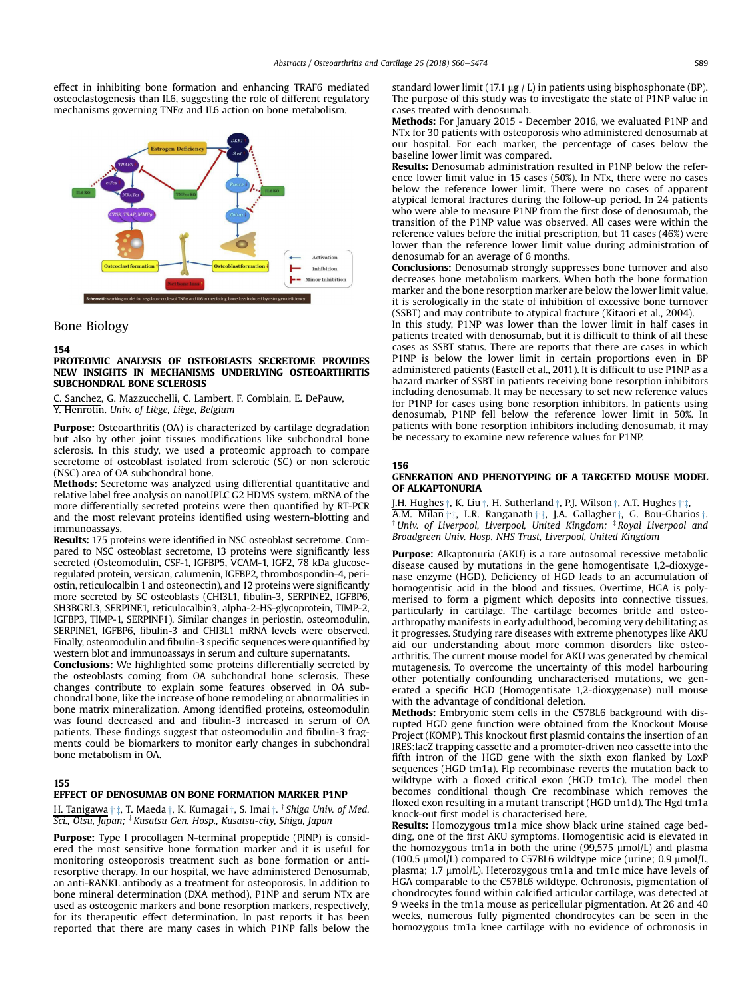effect in inhibiting bone formation and enhancing TRAF6 mediated osteoclastogenesis than IL6, suggesting the role of different regulatory mechanisms governing TNFa and IL6 action on bone metabolism.



# Bone Biology

#### 154

# PROTEOMIC ANALYSIS OF OSTEOBLASTS SECRETOME PROVIDES NEW INSIGHTS IN MECHANISMS UNDERLYING OSTEOARTHRITIS SUBCHONDRAL BONE SCLEROSIS

Sanchez, G. Mazzucchelli, C. Lambert, F. Comblain, E. DePauw, Y. Henrotin. Univ. of Liege, Liege, Belgium

**Purpose:** Osteoarthritis (OA) is characterized by cartilage degradation but also by other joint tissues modifications like subchondral bone sclerosis. In this study, we used a proteomic approach to compare secretome of osteoblast isolated from sclerotic (SC) or non sclerotic (NSC) area of OA subchondral bone.

Methods: Secretome was analyzed using differential quantitative and relative label free analysis on nanoUPLC G2 HDMS system. mRNA of the more differentially secreted proteins were then quantified by RT-PCR and the most relevant proteins identified using western-blotting and immunoassays.

Results: 175 proteins were identified in NSC osteoblast secretome. Compared to NSC osteoblast secretome, 13 proteins were significantly less secreted (Osteomodulin, CSF-1, IGFBP5, VCAM-1, IGF2, 78 kDa glucoseregulated protein, versican, calumenin, IGFBP2, thrombospondin-4, periostin, reticulocalbin 1 and osteonectin), and 12 proteins were significantly more secreted by SC osteoblasts (CHI3L1, fibulin-3, SERPINE2, IGFBP6, SH3BGRL3, SERPINE1, reticulocalbin3, alpha-2-HS-glycoprotein, TIMP-2, IGFBP3, TIMP-1, SERPINF1). Similar changes in periostin, osteomodulin, SERPINE1, IGFBP6, fibulin-3 and CHI3L1 mRNA levels were observed. Finally, osteomodulin and fibulin-3 specific sequences were quantified by western blot and immunoassays in serum and culture supernatants.

Conclusions: We highlighted some proteins differentially secreted by the osteoblasts coming from OA subchondral bone sclerosis. These changes contribute to explain some features observed in OA subchondral bone, like the increase of bone remodeling or abnormalities in bone matrix mineralization. Among identified proteins, osteomodulin was found decreased and and fibulin-3 increased in serum of OA patients. These findings suggest that osteomodulin and fibulin-3 fragments could be biomarkers to monitor early changes in subchondral bone metabolism in OA.

#### 155

### EFFECT OF DENOSUMAB ON BONE FORMATION MARKER P1NP

H. Tanigawa ††, T. Maeda †, K. Kumagai †, S. Imai †, <sup>†</sup> Shiga Univ. of Med. Sci., Otsu, Japan; <sup>‡</sup> Kusatsu Gen. Hosp., Kusatsu-city, Shiga, Japan

Purpose: Type I procollagen N-terminal propeptide (PINP) is considered the most sensitive bone formation marker and it is useful for monitoring osteoporosis treatment such as bone formation or antiresorptive therapy. In our hospital, we have administered Denosumab, an anti-RANKL antibody as a treatment for osteoporosis. In addition to bone mineral determination (DXA method), P1NP and serum NTx are used as osteogenic markers and bone resorption markers, respectively, for its therapeutic effect determination. In past reports it has been reported that there are many cases in which P1NP falls below the standard lower limit (17.1  $\mu$ g / L) in patients using bisphosphonate (BP). The purpose of this study was to investigate the state of P1NP value in cases treated with denosumab.

Methods: For January 2015 - December 2016, we evaluated P1NP and NTx for 30 patients with osteoporosis who administered denosumab at our hospital. For each marker, the percentage of cases below the baseline lower limit was compared.

Results: Denosumab administration resulted in P1NP below the reference lower limit value in 15 cases (50%). In NTx, there were no cases below the reference lower limit. There were no cases of apparent atypical femoral fractures during the follow-up period. In 24 patients who were able to measure P1NP from the first dose of denosumab, the transition of the P1NP value was observed. All cases were within the reference values before the initial prescription, but 11 cases (46%) were lower than the reference lower limit value during administration of denosumab for an average of 6 months.

**Conclusions:** Denosumab strongly suppresses bone turnover and also decreases bone metabolism markers. When both the bone formation marker and the bone resorption marker are below the lower limit value, it is serologically in the state of inhibition of excessive bone turnover (SSBT) and may contribute to atypical fracture (Kitaori et al., 2004).

In this study, P1NP was lower than the lower limit in half cases in patients treated with denosumab, but it is difficult to think of all these cases as SSBT status. There are reports that there are cases in which P1NP is below the lower limit in certain proportions even in BP administered patients (Eastell et al., 2011). It is difficult to use P1NP as a hazard marker of SSBT in patients receiving bone resorption inhibitors including denosumab. It may be necessary to set new reference values for P1NP for cases using bone resorption inhibitors. In patients using denosumab, P1NP fell below the reference lower limit in 50%. In patients with bone resorption inhibitors including denosumab, it may be necessary to examine new reference values for P1NP.

# 156

### GENERATION AND PHENOTYPING OF A TARGETED MOUSE MODEL OF ALKAPTONURIA

J.H. Hughes  $\dagger$ , K. Liu  $\dagger$ , H. Sutherland  $\dagger$ , P.J. Wilson  $\dagger$ , A.T. Hughes  $\dagger$ <sup>+</sup>. A.M. Milan ++, L.R. Ranganath +  $\dagger$  Univ. of Liverpool, Liverpool, United Kingdom;  $\dagger$  Royal Liverpool and Broadgreen Univ. Hosp. NHS Trust, Liverpool, United Kingdom

**Purpose:** Alkaptonuria (AKU) is a rare autosomal recessive metabolic disease caused by mutations in the gene homogentisate 1,2-dioxygenase enzyme (HGD). Deficiency of HGD leads to an accumulation of homogentisic acid in the blood and tissues. Overtime, HGA is polymerised to form a pigment which deposits into connective tissues, particularly in cartilage. The cartilage becomes brittle and osteoarthropathy manifests in early adulthood, becoming very debilitating as it progresses. Studying rare diseases with extreme phenotypes like AKU aid our understanding about more common disorders like osteoarthritis. The current mouse model for AKU was generated by chemical mutagenesis. To overcome the uncertainty of this model harbouring other potentially confounding uncharacterised mutations, we generated a specific HGD (Homogentisate 1,2-dioxygenase) null mouse with the advantage of conditional deletion.

Methods: Embryonic stem cells in the C57BL6 background with disrupted HGD gene function were obtained from the Knockout Mouse Project (KOMP). This knockout first plasmid contains the insertion of an IRES:lacZ trapping cassette and a promoter-driven neo cassette into the fifth intron of the HGD gene with the sixth exon flanked by LoxP sequences (HGD tm1a). Flp recombinase reverts the mutation back to wildtype with a floxed critical exon (HGD tm1c). The model then becomes conditional though Cre recombinase which removes the floxed exon resulting in a mutant transcript (HGD tm1d). The Hgd tm1a knock-out first model is characterised here.

Results: Homozygous tm1a mice show black urine stained cage bedding, one of the first AKU symptoms. Homogentisic acid is elevated in the homozygous tm1a in both the urine (99,575  $\mu$ mol/L) and plasma (100.5  $\mu$ mol/L) compared to C57BL6 wildtype mice (urine; 0.9  $\mu$ mol/L, plasma; 1.7  $\mu$ mol/L). Heterozygous tm1a and tm1c mice have levels of HGA comparable to the C57BL6 wildtype. Ochronosis, pigmentation of chondrocytes found within calcified articular cartilage, was detected at 9 weeks in the tm1a mouse as pericellular pigmentation. At 26 and 40 weeks, numerous fully pigmented chondrocytes can be seen in the homozygous tm1a knee cartilage with no evidence of ochronosis in